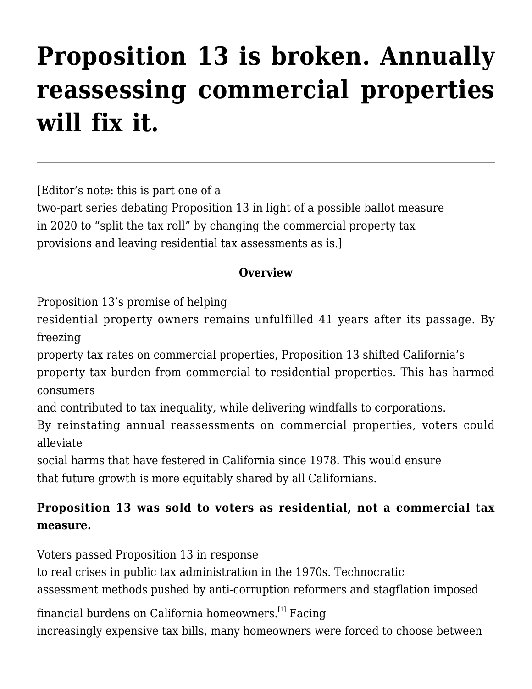# **[Proposition 13 is broken. Annually](http://scocablog.com/proposition-13-is-broken-annually-reassessing-commercial-properties-will-fix-it/) [reassessing commercial properties](http://scocablog.com/proposition-13-is-broken-annually-reassessing-commercial-properties-will-fix-it/) [will fix it.](http://scocablog.com/proposition-13-is-broken-annually-reassessing-commercial-properties-will-fix-it/)**

[Editor's note: this is part one of a

two-part series debating Proposition 13 in light of a possible ballot measure in 2020 to "split the tax roll" by changing the commercial property tax provisions and leaving residential tax assessments as is.]

## **Overview**

Proposition 13's promise of helping

residential property owners remains unfulfilled 41 years after its passage. By freezing

property tax rates on commercial properties, Proposition 13 shifted California's

property tax burden from commercial to residential properties. This has harmed consumers

and contributed to tax inequality, while delivering windfalls to corporations.

By reinstating annual reassessments on commercial properties, voters could alleviate

social harms that have festered in California since 1978. This would ensure that future growth is more equitably shared by all Californians.

# **Proposition 13 was sold to voters as residential, not a commercial tax measure.**

Voters passed Proposition 13 in response

to real crises in public tax administration in the 1970s. Technocratic

assessment methods pushed by anti-corruption reformers and stagflation imposed

financial burdens on California homeowners.[\[1\]](#page--1-0) Facing

increasingly expensive tax bills, many homeowners were forced to choose between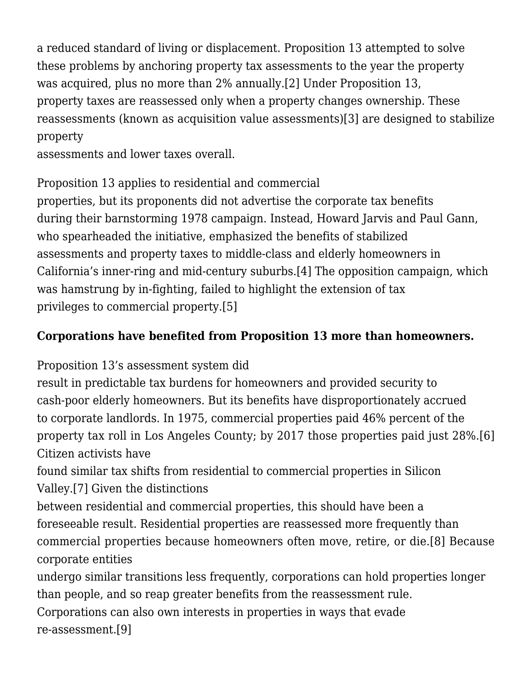a reduced standard of living or displacement. Proposition 13 attempted to solve these problems by anchoring property tax assessments to the year the property was acquired, plus no more than 2% annually.[\[2\]](#page--1-0) Under Proposition 13, property taxes are reassessed only when a property changes ownership. These reassessments (known as acquisition value assessments)[\[3\]](#page--1-0) are designed to stabilize property

assessments and lower taxes overall.

Proposition 13 applies to residential and commercial

properties, but its proponents did not advertise the corporate tax benefits during their barnstorming 1978 campaign. Instead, Howard Jarvis and Paul Gann, who spearheaded the initiative, emphasized the benefits of stabilized assessments and property taxes to middle-class and elderly homeowners in California's inner-ring and mid-century suburbs[.\[4\]](#page--1-0) The opposition campaign, which was hamstrung by in-fighting, failed to highlight the extension of tax privileges to commercial property.[\[5\]](#page--1-0)

# **Corporations have benefited from Proposition 13 more than homeowners.**

Proposition 13's assessment system did

result in predictable tax burdens for homeowners and provided security to cash-poor elderly homeowners. But its benefits have disproportionately accrued to corporate landlords. In 1975, commercial properties paid 46% percent of the property tax roll in Los Angeles County; by 2017 those properties paid just 28%.[\[6\]](#page--1-0) Citizen activists have

found similar tax shifts from residential to commercial properties in Silicon Valley[.\[7\]](#page--1-0) Given the distinctions

between residential and commercial properties, this should have been a foreseeable result. Residential properties are reassessed more frequently than commercial properties because homeowners often move, retire, or die.[\[8\]](#page--1-0) Because corporate entities

undergo similar transitions less frequently, corporations can hold properties longer than people, and so reap greater benefits from the reassessment rule.

Corporations can also own interests in properties in ways that evade re-assessment[.\[9\]](#page--1-0)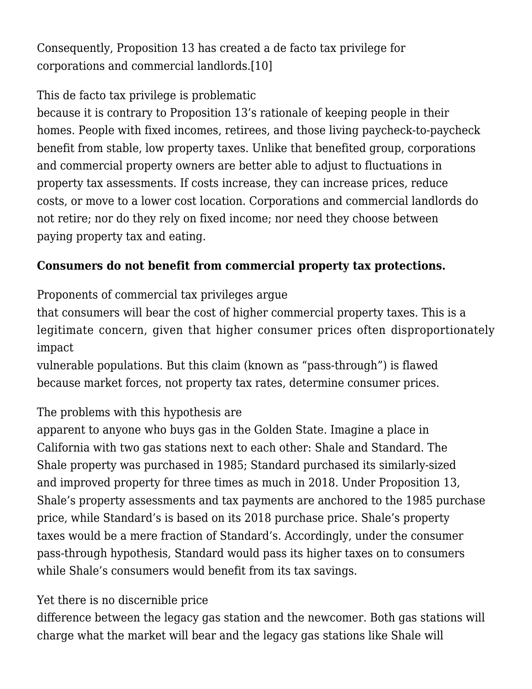Consequently, Proposition 13 has created a de facto tax privilege for corporations and commercial landlords.[\[10\]](#page--1-0)

#### This de facto tax privilege is problematic

because it is contrary to Proposition 13's rationale of keeping people in their homes. People with fixed incomes, retirees, and those living paycheck-to-paycheck benefit from stable, low property taxes. Unlike that benefited group, corporations and commercial property owners are better able to adjust to fluctuations in property tax assessments. If costs increase, they can increase prices, reduce costs, or move to a lower cost location. Corporations and commercial landlords do not retire; nor do they rely on fixed income; nor need they choose between paying property tax and eating.

## **Consumers do not benefit from commercial property tax protections.**

Proponents of commercial tax privileges argue

that consumers will bear the cost of higher commercial property taxes. This is a legitimate concern, given that higher consumer prices often disproportionately impact

vulnerable populations. But this claim (known as "pass-through") is flawed because market forces, not property tax rates, determine consumer prices.

# The problems with this hypothesis are

apparent to anyone who buys gas in the Golden State. Imagine a place in California with two gas stations next to each other: Shale and Standard. The Shale property was purchased in 1985; Standard purchased its similarly-sized and improved property for three times as much in 2018. Under Proposition 13, Shale's property assessments and tax payments are anchored to the 1985 purchase price, while Standard's is based on its 2018 purchase price. Shale's property taxes would be a mere fraction of Standard's. Accordingly, under the consumer pass-through hypothesis, Standard would pass its higher taxes on to consumers while Shale's consumers would benefit from its tax savings.

#### Yet there is no discernible price

difference between the legacy gas station and the newcomer. Both gas stations will charge what the market will bear and the legacy gas stations like Shale will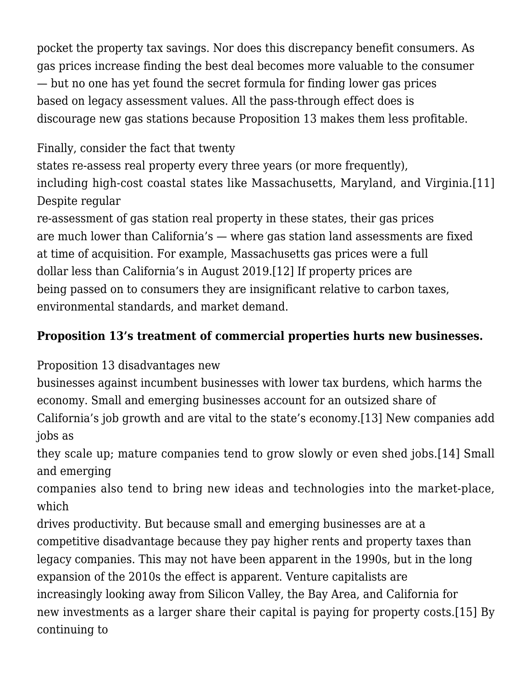pocket the property tax savings. Nor does this discrepancy benefit consumers. As gas prices increase finding the best deal becomes more valuable to the consumer — but no one has yet found the secret formula for finding lower gas prices based on legacy assessment values. All the pass-through effect does is discourage new gas stations because Proposition 13 makes them less profitable.

# Finally, consider the fact that twenty

states re-assess real property every three years (or more frequently), including high-cost coastal states like Massachusetts, Maryland, and Virginia.[\[11\]](#page--1-0) Despite regular

re-assessment of gas station real property in these states, their gas prices are much lower than California's — where gas station land assessments are fixed at time of acquisition. For example, Massachusetts gas prices were a full dollar less than California's in August 2019.[\[12\]](#page--1-0) If property prices are being passed on to consumers they are insignificant relative to carbon taxes, environmental standards, and market demand.

## **Proposition 13's treatment of commercial properties hurts new businesses.**

Proposition 13 disadvantages new

businesses against incumbent businesses with lower tax burdens, which harms the economy. Small and emerging businesses account for an outsized share of

California's job growth and are vital to the state's economy[.\[13\]](#page--1-0) New companies add jobs as

they scale up; mature companies tend to grow slowly or even shed jobs.[\[14\]](#page--1-0) Small and emerging

companies also tend to bring new ideas and technologies into the market-place, which

drives productivity. But because small and emerging businesses are at a competitive disadvantage because they pay higher rents and property taxes than legacy companies. This may not have been apparent in the 1990s, but in the long expansion of the 2010s the effect is apparent. Venture capitalists are increasingly looking away from Silicon Valley, the Bay Area, and California for new investments as a larger share their capital is paying for property costs.[\[15\]](#page--1-0) By continuing to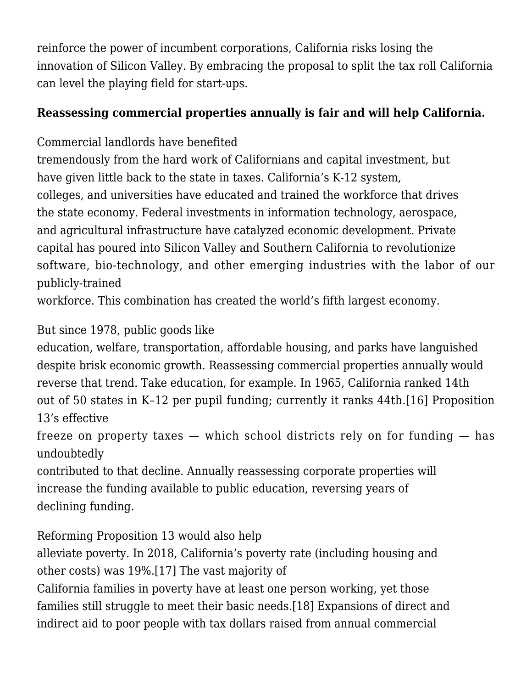reinforce the power of incumbent corporations, California risks losing the innovation of Silicon Valley. By embracing the proposal to split the tax roll California can level the playing field for start-ups.

## **Reassessing commercial properties annually is fair and will help California.**

Commercial landlords have benefited

tremendously from the hard work of Californians and capital investment, but have given little back to the state in taxes. California's K-12 system, colleges, and universities have educated and trained the workforce that drives the state economy. Federal investments in information technology, aerospace, and agricultural infrastructure have catalyzed economic development. Private capital has poured into Silicon Valley and Southern California to revolutionize software, bio-technology, and other emerging industries with the labor of our publicly-trained

workforce. This combination has created the world's fifth largest economy.

# But since 1978, public goods like

education, welfare, transportation, affordable housing, and parks have languished despite brisk economic growth. Reassessing commercial properties annually would reverse that trend. Take education, for example. In 1965, California ranked 14th out of 50 states in K–12 per pupil funding; currently it ranks 44th[.\[16\]](#page--1-0) Proposition 13's effective

freeze on property taxes — which school districts rely on for funding — has undoubtedly

contributed to that decline. Annually reassessing corporate properties will increase the funding available to public education, reversing years of declining funding.

Reforming Proposition 13 would also help

alleviate poverty. In 2018, California's poverty rate (including housing and other costs) was 19%.[\[17\]](#page--1-0) The vast majority of

California families in poverty have at least one person working, yet those families still struggle to meet their basic needs[.\[18\]](#page--1-0) Expansions of direct and indirect aid to poor people with tax dollars raised from annual commercial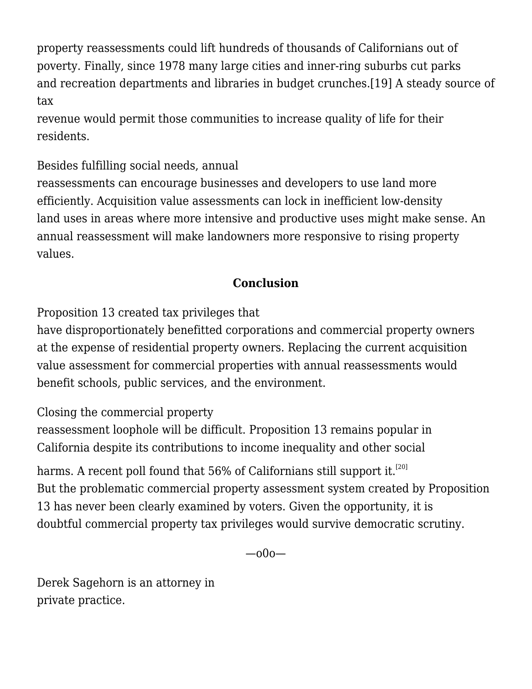property reassessments could lift hundreds of thousands of Californians out of poverty. Finally, since 1978 many large cities and inner-ring suburbs cut parks and recreation departments and libraries in budget crunches[.\[19\]](#page--1-0) A steady source of tax

revenue would permit those communities to increase quality of life for their residents.

Besides fulfilling social needs, annual

reassessments can encourage businesses and developers to use land more efficiently. Acquisition value assessments can lock in inefficient low-density land uses in areas where more intensive and productive uses might make sense. An annual reassessment will make landowners more responsive to rising property values.

# **Conclusion**

Proposition 13 created tax privileges that

have disproportionately benefitted corporations and commercial property owners at the expense of residential property owners. Replacing the current acquisition value assessment for commercial properties with annual reassessments would benefit schools, public services, and the environment.

Closing the commercial property

reassessment loophole will be difficult. Proposition 13 remains popular in California despite its contributions to income inequality and other social

harms. A recent poll found that 56% of Californians still support it.<sup>[\[20\]](#page--1-0)</sup> But the problematic commercial property assessment system created by Proposition 13 has never been clearly examined by voters. Given the opportunity, it is doubtful commercial property tax privileges would survive democratic scrutiny.

 $-000-$ 

[Derek Sagehorn](https://clappmoroney.com/attorneys/Derek-m-sagehorn/) is an attorney in private practice.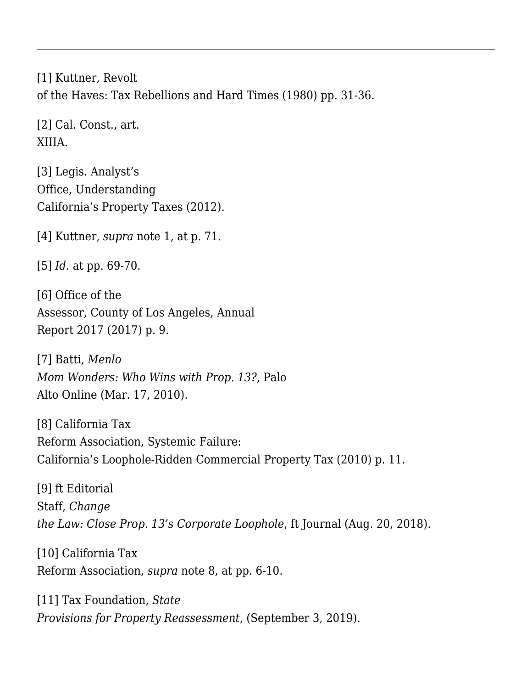[\[1\]](#page--1-0) Kuttner, Revolt of the Haves: Tax Rebellions and Hard Times (1980) pp. 31-36.

[\[2\]](#page--1-0) Cal. Const., art. XIIIA.

[\[3\]](#page--1-0) Legis. Analyst's Office, [Understanding](https://lao.ca.gov/reports/2012/tax/property-tax-primer-112912.aspx) [California's Property Taxes](https://lao.ca.gov/reports/2012/tax/property-tax-primer-112912.aspx) (2012).

[\[4\]](#page--1-0) Kuttner, *supra* note 1, at p. 71.

[\[5\]](#page--1-0) *Id*. at pp. 69-70.

[\[6\]](#page--1-0) Office of the Assessor, County of Los Angeles, [Annual](https://assessor.lacounty.gov/wp-content/uploads/2017/10/LACountyAssessor_AnnualReport_Digital.pdf) [Report 2017 \(2017\)](https://assessor.lacounty.gov/wp-content/uploads/2017/10/LACountyAssessor_AnnualReport_Digital.pdf) p. 9.

[\[7\]](#page--1-0) Batti, *[Menlo](https://www.paloaltoonline.com/news/2010/03/17/menlo-mom-wonders-who-wins-with-prop-13) [Mom Wonders: Who Wins with Prop. 13?,](https://www.paloaltoonline.com/news/2010/03/17/menlo-mom-wonders-who-wins-with-prop-13)* Palo Alto Online (Mar. 17, 2010).

[\[8\]](#page--1-0) California Tax Reform Association, [Systemic Failure:](http://www.mikemcmahon.info/Prop13TaxAnalysis2010.pdf) [California's Loophole-Ridden Commercial Property Tax](http://www.mikemcmahon.info/Prop13TaxAnalysis2010.pdf) (2010) p. 11.

[\[9\]](#page--1-0) ft Editorial Staff, *[Change](https://journal.firsttuesday.us/change-the-law-close-prop-13s-corporate-loophole/65104/) [the Law: Close Prop. 13's Corporate Loophole](https://journal.firsttuesday.us/change-the-law-close-prop-13s-corporate-loophole/65104/)*, ft Journal (Aug. 20, 2018).

[\[10\]](#page--1-0) California Tax Reform Association, *supra* note 8, at pp. 6-10.

[\[11\]](#page--1-0) Tax Foundation, *[State](https://taxfoundation.org/state-provisions-property-reassessment/) [Provisions for Property Reassessment](https://taxfoundation.org/state-provisions-property-reassessment/)*, (September 3, 2019).